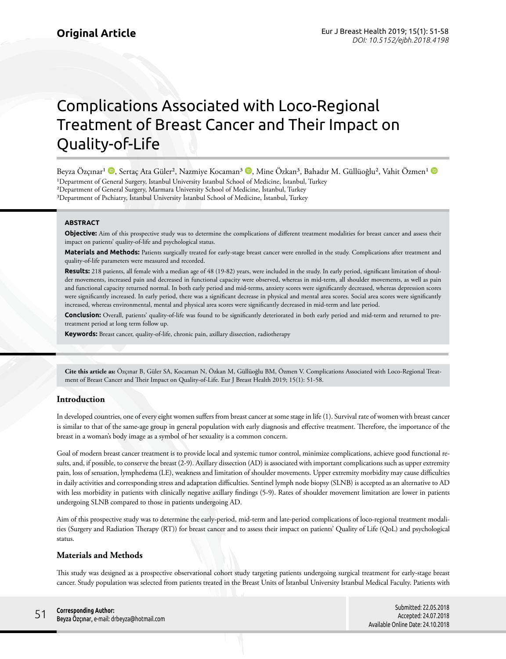# Complications Associated with Loco-Regional Treatment of Breast Cancer and Their Impact on Quality-of-Life

BeyzaÖzçınar<sup>ı (D</sup>), Sertaç Ata Güler<sup>2</sup>, Nazmiye Kocaman<sup>3 (D</sup>), Mine Özkan<sup>3</sup>, Bahadır M. Güllüoğlu<sup>2</sup>, Vahit Özmen<sup>1</sup> (D <sup>1</sup>Department of General Surgery, Istanbul University Istanbul School of Medicine, İstanbul, Turkey ²Department of General Surgery, Marmara University School of Medicine, İstanbul, Turkey ³Department of Pschiatry, İstanbul University İstanbul School of Medicine, İstanbul, Turkey

### **ABSTRACT**

**Objective:** Aim of this prospective study was to determine the complications of different treatment modalities for breast cancer and assess their impact on patients' quality-of-life and psychological status.

**Materials and Methods:** Patients surgically treated for early-stage breast cancer were enrolled in the study. Complications after treatment and quality-of-life parameters were measured and recorded.

**Results:** 218 patients, all female with a median age of 48 (19-82) years, were included in the study. In early period, significant limitation of shoulder movements, increased pain and decreased in functional capacity were observed, whereas in mid-term, all shoulder movements, as well as pain and functional capacity returned normal. In both early period and mid-terms, anxiety scores were significantly decreased, whereas depression scores were significantly increased. In early period, there was a significant decrease in physical and mental area scores. Social area scores were significantly increased, whereas environmental, mental and physical area scores were significantly decreased in mid-term and late period.

**Conclusion:** Overall, patients' quality-of-life was found to be significantly deteriorated in both early period and mid-term and returned to pretreatment period at long term follow up.

**Keywords:** Breast cancer, quality-of-life, chronic pain, axillary dissection, radiotherapy

**Cite this article as:** Özçınar B, Güler SA, Kocaman N, Özkan M, Güllüoğlu BM, Özmen V. Complications Associated with Loco-Regional Treatment of Breast Cancer and Their Impact on Quality-of-Life. Eur J Breast Health 2019; 15(1): 51-58.

### **Introduction**

In developed countries, one of every eight women suffers from breast cancer at some stage in life (1). Survival rate of women with breast cancer is similar to that of the same-age group in general population with early diagnosis and effective treatment. Therefore, the importance of the breast in a woman's body image as a symbol of her sexuality is a common concern.

Goal of modern breast cancer treatment is to provide local and systemic tumor control, minimize complications, achieve good functional results, and, if possible, to conserve the breast (2-9). Axillary dissection (AD) is associated with important complications such as upper extremity pain, loss of sensation, lymphedema (LE), weakness and limitation of shoulder movements. Upper extremity morbidity may cause difficulties in daily activities and corresponding stress and adaptation difficulties. Sentinel lymph node biopsy (SLNB) is accepted as an alternative to AD with less morbidity in patients with clinically negative axillary findings (5-9). Rates of shoulder movement limitation are lower in patients undergoing SLNB compared to those in patients undergoing AD.

Aim of this prospective study was to determine the early-period, mid-term and late-period complications of loco-regional treatment modalities (Surgery and Radiation Therapy (RT)) for breast cancer and to assess their impact on patients' Quality of Life (QoL) and psychological status.

## **Materials and Methods**

This study was designed as a prospective observational cohort study targeting patients undergoing surgical treatment for early-stage breast cancer. Study population was selected from patients treated in the Breast Units of İstanbul University Istanbul Medical Faculty. Patients with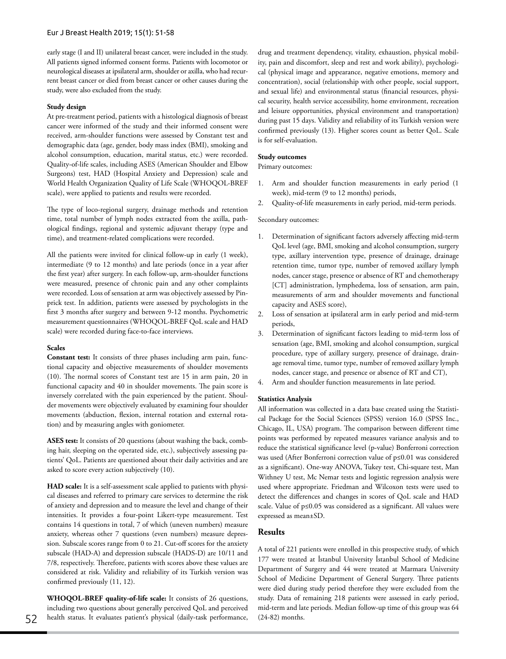early stage (I and II) unilateral breast cancer, were included in the study. All patients signed informed consent forms. Patients with locomotor or neurological diseases at ipsilateral arm, shoulder or axilla, who had recurrent breast cancer or died from breast cancer or other causes during the study, were also excluded from the study.

#### **Study design**

At pre-treatment period, patients with a histological diagnosis of breast cancer were informed of the study and their informed consent were received, arm-shoulder functions were assessed by Constant test and demographic data (age, gender, body mass index (BMI), smoking and alcohol consumption, education, marital status, etc.) were recorded. Quality-of-life scales, including ASES (American Shoulder and Elbow Surgeons) test, HAD (Hospital Anxiety and Depression) scale and World Health Organization Quality of Life Scale (WHOQOL-BREF scale), were applied to patients and results were recorded.

The type of loco-regional surgery, drainage methods and retention time, total number of lymph nodes extracted from the axilla, pathological findings, regional and systemic adjuvant therapy (type and time), and treatment-related complications were recorded.

All the patients were invited for clinical follow-up in early (1 week), intermediate (9 to 12 months) and late periods (once in a year after the first year) after surgery. In each follow-up, arm-shoulder functions were measured, presence of chronic pain and any other complaints were recorded. Loss of sensation at arm was objectively assessed by Pinprick test. In addition, patients were assessed by psychologists in the first 3 months after surgery and between 9-12 months. Psychometric measurement questionnaires (WHOQOL-BREF QoL scale and HAD scale) were recorded during face-to-face interviews.

#### **Scales**

**Constant test:** It consists of three phases including arm pain, functional capacity and objective measurements of shoulder movements (10). The normal scores of Constant test are 15 in arm pain, 20 in functional capacity and 40 in shoulder movements. The pain score is inversely correlated with the pain experienced by the patient. Shoulder movements were objectively evaluated by examining four shoulder movements (abduction, flexion, internal rotation and external rotation) and by measuring angles with goniometer.

**ASES test:** It consists of 20 questions (about washing the back, combing hair, sleeping on the operated side, etc.), subjectively assessing patients' QoL. Patients are questioned about their daily activities and are asked to score every action subjectively (10).

**HAD scale:** It is a self-assessment scale applied to patients with physical diseases and referred to primary care services to determine the risk of anxiety and depression and to measure the level and change of their intensities. It provides a four-point Likert-type measurement. Test contains 14 questions in total, 7 of which (uneven numbers) measure anxiety, whereas other 7 questions (even numbers) measure depression. Subscale scores range from 0 to 21. Cut-off scores for the anxiety subscale (HAD-A) and depression subscale (HADS-D) are 10/11 and 7/8, respectively. Therefore, patients with scores above these values are considered at risk. Validity and reliability of its Turkish version was confirmed previously (11, 12).

**WHOQOL-BREF quality-of-life scale:** It consists of 26 questions, including two questions about generally perceived QoL and perceived health status. It evaluates patient's physical (daily-task performance, (24-82) months. 52

drug and treatment dependency, vitality, exhaustion, physical mobility, pain and discomfort, sleep and rest and work ability), psychological (physical image and appearance, negative emotions, memory and concentration), social (relationship with other people, social support, and sexual life) and environmental status (financial resources, physical security, health service accessibility, home environment, recreation and leisure opportunities, physical environment and transportation) during past 15 days. Validity and reliability of its Turkish version were confirmed previously (13). Higher scores count as better QoL. Scale is for self-evaluation.

#### **Study outcomes**

Primary outcomes:

- 1. Arm and shoulder function measurements in early period (1 week), mid-term (9 to 12 months) periods,
- 2. Quality-of-life measurements in early period, mid-term periods.

#### Secondary outcomes:

- 1. Determination of significant factors adversely affecting mid-term QoL level (age, BMI, smoking and alcohol consumption, surgery type, axillary intervention type, presence of drainage, drainage retention time, tumor type, number of removed axillary lymph nodes, cancer stage, presence or absence of RT and chemotherapy [CT] administration, lymphedema, loss of sensation, arm pain, measurements of arm and shoulder movements and functional capacity and ASES score),
- 2. Loss of sensation at ipsilateral arm in early period and mid-term periods,
- 3. Determination of significant factors leading to mid-term loss of sensation (age, BMI, smoking and alcohol consumption, surgical procedure, type of axillary surgery, presence of drainage, drainage removal time, tumor type, number of removed axillary lymph nodes, cancer stage, and presence or absence of RT and CT),
- 4. Arm and shoulder function measurements in late period.

#### **Statistics Analysis**

All information was collected in a data base created using the Statistical Package for the Social Sciences (SPSS) version 16.0 (SPSS Inc., Chicago, IL, USA) program. The comparison between different time points was performed by repeated measures variance analysis and to reduce the statistical significance level (p-value) Bonferroni correction was used (After Bonferroni correction value of p≤0.01 was considered as a significant). One-way ANOVA, Tukey test, Chi-square test, Man Withney U test, Mc Nemar tests and logistic regression analysis were used where appropriate. Friedman and Wilcoxon tests were used to detect the differences and changes in scores of QoL scale and HAD scale. Value of p≤0.05 was considered as a significant. All values were expressed as mean±SD.

## **Results**

A total of 221 patients were enrolled in this prospective study, of which 177 were treated at İstanbul University İstanbul School of Medicine Department of Surgery and 44 were treated at Marmara University School of Medicine Department of General Surgery. Three patients were died during study period therefore they were excluded from the study. Data of remaining 218 patients were assessed in early period, mid-term and late periods. Median follow-up time of this group was 64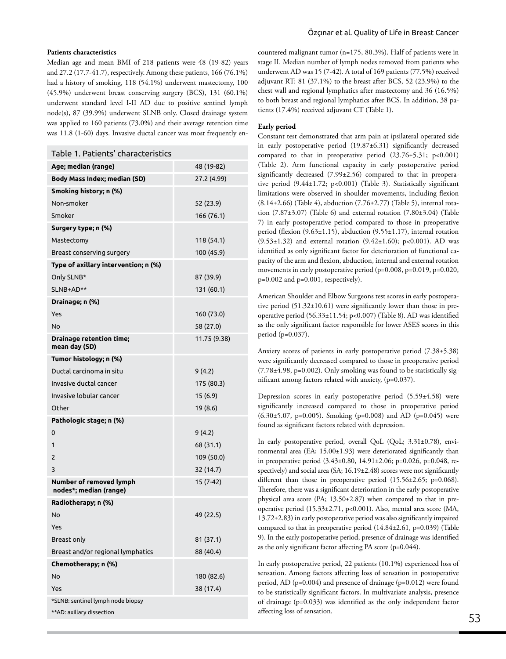#### **Patients characteristics**

Median age and mean BMI of 218 patients were 48 (19-82) years and 27.2 (17.7-41.7), respectively. Among these patients, 166 (76.1%) had a history of smoking, 118 (54.1%) underwent mastectomy, 100 (45.9%) underwent breast conserving surgery (BCS), 131 (60.1%) underwent standard level I-II AD due to positive sentinel lymph node(s), 87 (39.9%) underwent SLNB only. Closed drainage system was applied to 160 patients (73.0%) and their average retention time was 11.8 (1-60) days. Invasive ductal cancer was most frequently en-

| Table 1. Patients' characteristics                |              | compared to that in preoperative period (23.76±5.31; p<0.001)                                                                                       |    |  |  |  |
|---------------------------------------------------|--------------|-----------------------------------------------------------------------------------------------------------------------------------------------------|----|--|--|--|
| Age; median (range)                               | 48 (19-82)   | (Table 2). Arm functional capacity in early postoperative period                                                                                    |    |  |  |  |
| Body Mass Index; median (SD)                      | 27.2 (4.99)  | significantly decreased (7.99±2.56) compared to that in preopera-<br>tive period (9.44±1.72; p<0.001) (Table 3). Statistically significant          |    |  |  |  |
| Smoking history; n (%)                            |              | limitations were observed in shoulder movements, including flexion                                                                                  |    |  |  |  |
| Non-smoker                                        | 52 (23.9)    | $(8.14\pm2.66)$ (Table 4), abduction $(7.76\pm2.77)$ (Table 5), internal rota-                                                                      |    |  |  |  |
| Smoker                                            | 166 (76.1)   | tion $(7.87\pm3.07)$ (Table 6) and external rotation $(7.80\pm3.04)$ (Table                                                                         |    |  |  |  |
| Surgery type; n (%)                               |              | 7) in early postoperative period compared to those in preoperative<br>period (flexion (9.63±1.15), abduction (9.55±1.17), internal rotation         |    |  |  |  |
| Mastectomy                                        | 118 (54.1)   | $(9.53 \pm 1.32)$ and external rotation $(9.42 \pm 1.60)$ ; p<0.001). AD was                                                                        |    |  |  |  |
| Breast conserving surgery                         | 100 (45.9)   | identified as only significant factor for deterioration of functional ca-                                                                           |    |  |  |  |
| Type of axillary intervention; n (%)              |              | pacity of the arm and flexion, abduction, internal and external rotation<br>movements in early postoperative period (p=0.008, p=0.019, p=0.020,     |    |  |  |  |
| Only SLNB*                                        | 87 (39.9)    | p=0.002 and p=0.001, respectively).                                                                                                                 |    |  |  |  |
| SLNB+AD**                                         | 131 (60.1)   |                                                                                                                                                     |    |  |  |  |
| Drainage; n (%)                                   |              | American Shoulder and Elbow Surgeons test scores in early postopera-<br>tive period $(51.32 \pm 10.61)$ were significantly lower than those in pre- |    |  |  |  |
| Yes                                               | 160 (73.0)   | operative period (56.33±11.54; p<0.007) (Table 8). AD was identified                                                                                |    |  |  |  |
| No                                                | 58 (27.0)    | as the only significant factor responsible for lower ASES scores in this                                                                            |    |  |  |  |
| <b>Drainage retention time;</b><br>mean day (SD)  | 11.75 (9.38) | period (p=0.037).                                                                                                                                   |    |  |  |  |
| Tumor histology; n (%)                            |              | Anxiety scores of patients in early postoperative period (7.38±5.38)<br>were significantly decreased compared to those in preoperative period       |    |  |  |  |
| Ductal carcinoma in situ                          | 9(4.2)       | (7.78±4.98, p=0.002). Only smoking was found to be statistically sig-                                                                               |    |  |  |  |
| Invasive ductal cancer                            | 175 (80.3)   | nificant among factors related with anxiety, (p=0.037).                                                                                             |    |  |  |  |
| Invasive lobular cancer                           | 15(6.9)      | Depression scores in early postoperative period (5.59±4.58) were                                                                                    |    |  |  |  |
| Other                                             | 19 (8.6)     | significantly increased compared to those in preoperative period                                                                                    |    |  |  |  |
| Pathologic stage; n (%)                           |              | $(6.30\pm5.07, p=0.005)$ . Smoking (p=0.008) and AD (p=0.045) were                                                                                  |    |  |  |  |
| 0                                                 | 9(4.2)       | found as significant factors related with depression.                                                                                               |    |  |  |  |
| 1                                                 | 68 (31.1)    | In early postoperative period, overall QoL (QoL; 3.31±0.78), envi-                                                                                  |    |  |  |  |
| 2                                                 | 109 (50.0)   | ronmental area (EA; 15.00±1.93) were deteriorated significantly than<br>in preoperative period (3.43±0.80, 14.91±2.06; p=0.026, p=0.048, re-        |    |  |  |  |
| 3                                                 | 32 (14.7)    | spectively) and social area (SA; 16.19±2.48) scores were not significantly                                                                          |    |  |  |  |
| Number of removed lymph<br>nodes*; median (range) | 15 (7-42)    | different than those in preoperative period (15.56±2.65; p=0.068).<br>Therefore, there was a significant deterioration in the early postoperative   |    |  |  |  |
| Radiotherapy; n (%)                               |              | physical area score (PA; 13.50±2.87) when compared to that in pre-                                                                                  |    |  |  |  |
| No                                                | 49 (22.5)    | operative period (15.33±2.71, p<0.001). Also, mental area score (MA,<br>13.72±2.83) in early postoperative period was also significantly impaired   |    |  |  |  |
| Yes                                               |              | compared to that in preoperative period (14.84±2.61, p=0.039) (Table                                                                                |    |  |  |  |
| Breast only                                       | 81 (37.1)    | 9). In the early postoperative period, presence of drainage was identified                                                                          |    |  |  |  |
| Breast and/or regional lymphatics                 | 88 (40.4)    | as the only significant factor affecting PA score (p=0.044).                                                                                        |    |  |  |  |
| Chemotherapy; n (%)                               |              | In early postoperative period, 22 patients (10.1%) experienced loss of                                                                              |    |  |  |  |
| No                                                | 180 (82.6)   | sensation. Among factors affecting loss of sensation in postoperative                                                                               |    |  |  |  |
| Yes                                               | 38 (17.4)    | period, AD (p=0.004) and presence of drainage (p=0.012) were found<br>to be statistically significant factors. In multivariate analysis, presence   |    |  |  |  |
| *SLNB: sentinel lymph node biopsy                 |              | of drainage (p=0.033) was identified as the only independent factor                                                                                 |    |  |  |  |
| **AD: axillary dissection                         |              | affecting loss of sensation.                                                                                                                        |    |  |  |  |
|                                                   |              |                                                                                                                                                     | 53 |  |  |  |

countered malignant tumor (n=175, 80.3%). Half of patients were in stage II. Median number of lymph nodes removed from patients who underwent AD was 15 (7-42). A total of 169 patients (77.5%) received adjuvant RT: 81 (37.1%) to the breast after BCS, 52 (23.9%) to the chest wall and regional lymphatics after mastectomy and 36 (16.5%) to both breast and regional lymphatics after BCS. In addition, 38 patients (17.4%) received adjuvant CT (Table 1).

#### **Early period**

Constant test demonstrated that arm pain at ipsilateral operated side in early postoperative period (19.87±6.31) significantly decreased compared to that in preoperative period (23.76±5.31; p<0.001) (Table 2). Arm functional capacity in early postoperative period significantly decreased (7.99±2.56) compared to that in preoperative period (9.44±1.72; p<0.001) (Table 3). Statistically significant limitations were observed in shoulder movements, including flexion (8.14±2.66) (Table 4), abduction (7.76±2.77) (Table 5), internal rotation  $(7.87\pm3.07)$  (Table 6) and external rotation  $(7.80\pm3.04)$  (Table 7) in early postoperative period compared to those in preoperative period (flexion (9.63±1.15), abduction (9.55±1.17), internal rotation  $(9.53\pm1.32)$  and external rotation  $(9.42\pm1.60)$ ; p<0.001). AD was identified as only significant factor for deterioration of functional capacity of the arm and flexion, abduction, internal and external rotation movements in early postoperative period (p=0.008, p=0.019, p=0.020, p=0.002 and p=0.001, respectively).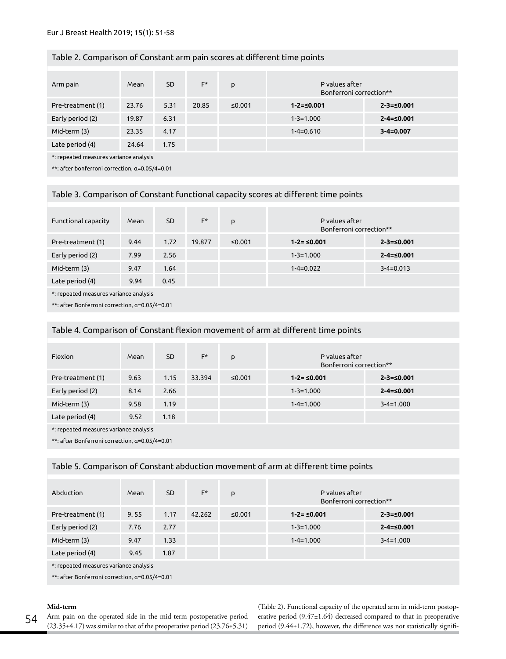## Table 2. Comparison of Constant arm pain scores at different time points

| Arm pain                                       | Mean  | <b>SD</b> | F*    | p      | P values after<br>Bonferroni correction** |                  |  |
|------------------------------------------------|-------|-----------|-------|--------|-------------------------------------------|------------------|--|
| Pre-treatment (1)                              | 23.76 | 5.31      | 20.85 | ≤0.001 | $1 - 2 = 50.001$                          | $2 - 3 = 0.001$  |  |
| Early period (2)                               | 19.87 | 6.31      |       |        | $1 - 3 = 1.000$                           | $2 - 4 = 50.001$ |  |
| Mid-term (3)                                   | 23.35 | 4.17      |       |        | $1 - 4 = 0.610$                           | $3 - 4 = 0.007$  |  |
| Late period (4)                                | 24.64 | 1.75      |       |        |                                           |                  |  |
| *: repeated measures variance analysis         |       |           |       |        |                                           |                  |  |
| **: after bonferroni correction, a=0.05/4=0.01 |       |           |       |        |                                           |                  |  |

## Table 3. Comparison of Constant functional capacity scores at different time points

| Functional capacity                            | Mean | <b>SD</b> | $F^*$  | p      | P values after<br>Bonferroni correction** |                  |  |
|------------------------------------------------|------|-----------|--------|--------|-------------------------------------------|------------------|--|
| Pre-treatment (1)                              | 9.44 | 1.72      | 19.877 | ≤0.001 | $1 - 2 = 50.001$                          | $2 - 3 = 0.001$  |  |
| Early period (2)                               | 7.99 | 2.56      |        |        | $1 - 3 = 1.000$                           | $2 - 4 = 50.001$ |  |
| Mid-term (3)                                   | 9.47 | 1.64      |        |        | $1 - 4 = 0.022$                           | $3 - 4 = 0.013$  |  |
| Late period (4)                                | 9.94 | 0.45      |        |        |                                           |                  |  |
| *: repeated measures variance analysis         |      |           |        |        |                                           |                  |  |
| **: after Bonferroni correction, a=0.05/4=0.01 |      |           |        |        |                                           |                  |  |

## Table 4. Comparison of Constant flexion movement of arm at different time points

| Flexion                                | Mean | <b>SD</b> | F*     | p      | P values after<br>Bonferroni correction** |                  |  |
|----------------------------------------|------|-----------|--------|--------|-------------------------------------------|------------------|--|
| Pre-treatment (1)                      | 9.63 | 1.15      | 33.394 | ≤0.001 | $1 - 2 = 50.001$                          | $2 - 3 = 0.001$  |  |
| Early period (2)                       | 8.14 | 2.66      |        |        | $1 - 3 = 1.000$                           | $2 - 4 = 50.001$ |  |
| Mid-term (3)                           | 9.58 | 1.19      |        |        | $1 - 4 = 1.000$                           | $3 - 4 = 1.000$  |  |
| Late period (4)                        | 9.52 | 1.18      |        |        |                                           |                  |  |
| *: repeated measures variance analysis |      |           |        |        |                                           |                  |  |

\*\*: after Bonferroni correction, α=0.05/4=0.01

## Table 5. Comparison of Constant abduction movement of arm at different time points

| Abduction                                      | Mean | SD.  | $F^*$  | p      | P values after<br>Bonferroni correction** |                  |  |
|------------------------------------------------|------|------|--------|--------|-------------------------------------------|------------------|--|
| Pre-treatment (1)                              | 9.55 | 1.17 | 42.262 | ≤0.001 | $1 - 2 = 50.001$                          | $2 - 3 = 0.001$  |  |
| Early period (2)                               | 7.76 | 2.77 |        |        | $1 - 3 = 1.000$                           | $2 - 4 = 50.001$ |  |
| Mid-term (3)                                   | 9.47 | 1.33 |        |        | $1 - 4 = 1.000$                           | $3 - 4 = 1.000$  |  |
| Late period (4)                                | 9.45 | 1.87 |        |        |                                           |                  |  |
| *: repeated measures variance analysis         |      |      |        |        |                                           |                  |  |
| **: after Bonferroni correction, a=0.05/4=0.01 |      |      |        |        |                                           |                  |  |

## **Mid-term**

(Table 2). Functional capacity of the operated arm in mid-term postoperative period (9.47±1.64) decreased compared to that in preoperative period (9.44±1.72), however, the difference was not statistically signifi-

Arm pain on the operated side in the mid-term postoperative period (23.35±4.17) was similar to that of the preoperative period (23.76±5.31) 54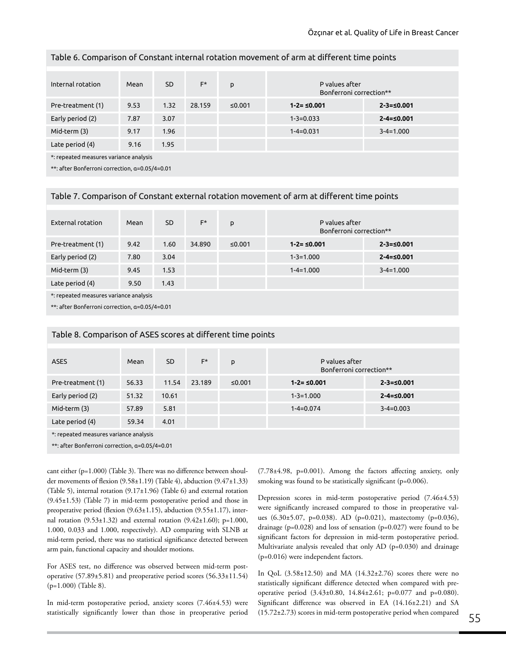| Table 6. Comparison of Constant internal rotation movement of arm at different time points |  |
|--------------------------------------------------------------------------------------------|--|
|--------------------------------------------------------------------------------------------|--|

| Internal rotation                              | Mean | <b>SD</b> | $F^*$  | p      | P values after<br>Bonferroni correction** |                  |  |
|------------------------------------------------|------|-----------|--------|--------|-------------------------------------------|------------------|--|
| Pre-treatment (1)                              | 9.53 | 1.32      | 28.159 | ≤0.001 | $1 - 2 = 50.001$                          | $2 - 3 = 0.001$  |  |
| Early period (2)                               | 7.87 | 3.07      |        |        | $1 - 3 = 0.033$                           | $2 - 4 = 50.001$ |  |
| Mid-term (3)                                   | 9.17 | 1.96      |        |        | $1 - 4 = 0.031$                           | $3 - 4 = 1.000$  |  |
| Late period (4)                                | 9.16 | 1.95      |        |        |                                           |                  |  |
| *: repeated measures variance analysis         |      |           |        |        |                                           |                  |  |
| **: after Bonferroni correction, a=0.05/4=0.01 |      |           |        |        |                                           |                  |  |

#### Table 7. Comparison of Constant external rotation movement of arm at different time points

| External rotation                              | Mean | <b>SD</b> | $F^*$  | p      | P values after<br>Bonferroni correction** |                  |  |
|------------------------------------------------|------|-----------|--------|--------|-------------------------------------------|------------------|--|
| Pre-treatment (1)                              | 9.42 | 1.60      | 34.890 | ≤0.001 | $1 - 2 = 50.001$                          | $2 - 3 = 50.001$ |  |
| Early period (2)                               | 7.80 | 3.04      |        |        | $1 - 3 = 1.000$                           | $2 - 4 = 50.001$ |  |
| Mid-term (3)                                   | 9.45 | 1.53      |        |        | $1 - 4 = 1.000$                           | $3 - 4 = 1.000$  |  |
| Late period (4)                                | 9.50 | 1.43      |        |        |                                           |                  |  |
| *: repeated measures variance analysis         |      |           |        |        |                                           |                  |  |
| **: after Bonferroni correction, a=0.05/4=0.01 |      |           |        |        |                                           |                  |  |

| <b>ASES</b>                                    | Mean  | <b>SD</b> | F*     | p      | P values after<br>Bonferroni correction** |                  |  |
|------------------------------------------------|-------|-----------|--------|--------|-------------------------------------------|------------------|--|
| Pre-treatment (1)                              | 56.33 | 11.54     | 23.189 | ≤0.001 | $1 - 2 = 50.001$                          | $2 - 3 = 0.001$  |  |
| Early period (2)                               | 51.32 | 10.61     |        |        | $1 - 3 = 1.000$                           | $2 - 4 = 50.001$ |  |
| Mid-term (3)                                   | 57.89 | 5.81      |        |        | $1 - 4 = 0.074$                           | $3 - 4 = 0.003$  |  |
| Late period (4)                                | 59.34 | 4.01      |        |        |                                           |                  |  |
| *: repeated measures variance analysis         |       |           |        |        |                                           |                  |  |
| **: after Bonferroni correction, a=0.05/4=0.01 |       |           |        |        |                                           |                  |  |

## Table 8. Comparison of ASES scores at different time points

cant either (p=1.000) (Table 3). There was no difference between shoulder movements of flexion (9.58±1.19) (Table 4), abduction (9.47±1.33) (Table 5), internal rotation (9.17±1.96) (Table 6) and external rotation (9.45±1.53) (Table 7) in mid-term postoperative period and those in preoperative period (flexion (9.63±1.15), abduction (9.55±1.17), internal rotation  $(9.53 \pm 1.32)$  and external rotation  $(9.42 \pm 1.60)$ ; p=1.000, 1.000, 0.033 and 1.000, respectively). AD comparing with SLNB at mid-term period, there was no statistical significance detected between arm pain, functional capacity and shoulder motions.

For ASES test, no difference was observed between mid-term postoperative (57.89±5.81) and preoperative period scores (56.33±11.54) (p=1.000) (Table 8).

In mid-term postoperative period, anxiety scores (7.46±4.53) were statistically significantly lower than those in preoperative period

(7.78±4.98, p=0.001). Among the factors affecting anxiety, only smoking was found to be statistically significant (p=0.006).

Depression scores in mid-term postoperative period (7.46±4.53) were significantly increased compared to those in preoperative values (6.30±5.07, p=0.038). AD (p=0.021), mastectomy (p=0.036), drainage ( $p=0.028$ ) and loss of sensation ( $p=0.027$ ) were found to be significant factors for depression in mid-term postoperative period. Multivariate analysis revealed that only AD (p=0.030) and drainage (p=0.016) were independent factors.

In QoL (3.58±12.50) and MA (14.32±2.76) scores there were no statistically significant difference detected when compared with preoperative period (3.43±0.80, 14.84±2.61; p=0.077 and p=0.080). Significant difference was observed in EA (14.16±2.21) and SA (15.72±2.73) scores in mid-term postoperative period when compared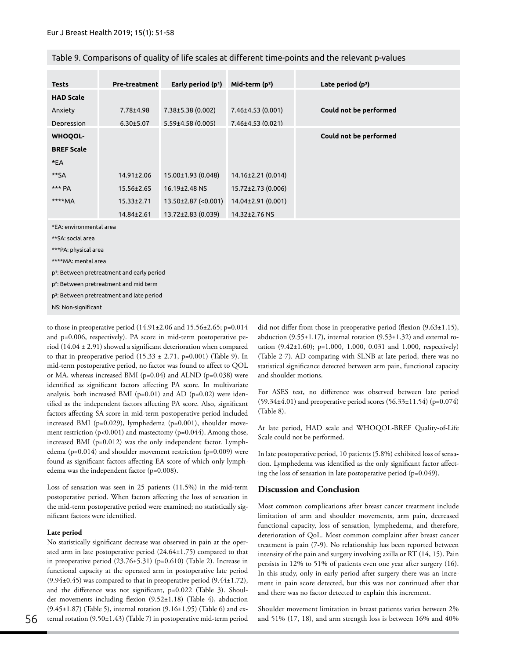| <b>Tests</b>                                           | Pre-treatment                                         | Early period (p <sup>1</sup> ) | Mid-term $(p^2)$     | Late period $(p^3)$    |  |  |  |  |  |
|--------------------------------------------------------|-------------------------------------------------------|--------------------------------|----------------------|------------------------|--|--|--|--|--|
| <b>HAD Scale</b>                                       |                                                       |                                |                      |                        |  |  |  |  |  |
| Anxiety                                                | 7.78±4.98                                             | $7.38 \pm 5.38$ (0.002)        | $7.46\pm4.53(0.001)$ | Could not be performed |  |  |  |  |  |
| Depression                                             | $6.30 \pm 5.07$                                       | $5.59\pm4.58(0.005)$           | 7.46±4.53 (0.021)    |                        |  |  |  |  |  |
| <b>WHOQOL-</b>                                         |                                                       |                                |                      | Could not be performed |  |  |  |  |  |
| <b>BREF Scale</b>                                      |                                                       |                                |                      |                        |  |  |  |  |  |
| $*E$                                                   |                                                       |                                |                      |                        |  |  |  |  |  |
| **SA                                                   | 14.91±2.06                                            | 15.00±1.93 (0.048)             | 14.16±2.21 (0.014)   |                        |  |  |  |  |  |
| *** PA                                                 | $15.56 \pm 2.65$                                      | 16.19±2.48 NS                  | 15.72±2.73 (0.006)   |                        |  |  |  |  |  |
| ****MA                                                 | $15.33 \pm 2.71$                                      | 13.50±2.87 (<0.001)            | 14.04±2.91 (0.001)   |                        |  |  |  |  |  |
|                                                        | $14.84 \pm 2.61$                                      | 13.72±2.83 (0.039)             | 14.32±2.76 NS        |                        |  |  |  |  |  |
| *EA: environmental area                                |                                                       |                                |                      |                        |  |  |  |  |  |
| **SA: social area                                      |                                                       |                                |                      |                        |  |  |  |  |  |
| ***PA: physical area                                   |                                                       |                                |                      |                        |  |  |  |  |  |
| ****MA: mental area                                    |                                                       |                                |                      |                        |  |  |  |  |  |
| p <sup>1</sup> : Between pretreatment and early period |                                                       |                                |                      |                        |  |  |  |  |  |
|                                                        | p <sup>2</sup> : Between pretreatment and mid term    |                                |                      |                        |  |  |  |  |  |
|                                                        | p <sup>3</sup> : Between pretreatment and late period |                                |                      |                        |  |  |  |  |  |
| NS: Non-significant                                    |                                                       |                                |                      |                        |  |  |  |  |  |

Table 9. Comparisons of quality of life scales at different time-points and the relevant p-values

to those in preoperative period  $(14.91 \pm 2.06$  and  $15.56 \pm 2.65$ ; p=0.014 and p=0.006, respectively). PA score in mid-term postoperative period (14.04 ± 2.91) showed a significant deterioration when compared to that in preoperative period  $(15.33 \pm 2.71, p=0.001)$  (Table 9). In mid-term postoperative period, no factor was found to affect to QOL or MA, whereas increased BMI (p=0.04) and ALND (p=0.038) were identified as significant factors affecting PA score. In multivariate analysis, both increased BMI (p=0.01) and AD (p=0.02) were identified as the independent factors affecting PA score. Also, significant factors affecting SA score in mid-term postoperative period included increased BMI (p=0.029), lymphedema (p=0.001), shoulder movement restriction  $(p<0.001)$  and mastectomy  $(p=0.044)$ . Among those, increased BMI (p=0.012) was the only independent factor. Lymphedema (p=0.014) and shoulder movement restriction (p=0.009) were found as significant factors affecting EA score of which only lymphedema was the independent factor (p=0.008).

Loss of sensation was seen in 25 patients (11.5%) in the mid-term postoperative period. When factors affecting the loss of sensation in the mid-term postoperative period were examined; no statistically significant factors were identified.

#### **Late period**

No statistically significant decrease was observed in pain at the operated arm in late postoperative period (24.64±1.75) compared to that in preoperative period  $(23.76\pm5.31)$  (p=0.610) (Table 2). Increase in functional capacity at the operated arm in postoperative late period  $(9.94\pm0.45)$  was compared to that in preoperative period  $(9.44\pm1.72)$ , and the difference was not significant, p=0.022 (Table 3). Shoulder movements including flexion (9.52±1.18) (Table 4), abduction  $(9.45\pm1.87)$  (Table 5), internal rotation  $(9.16\pm1.95)$  (Table 6) and external rotation (9.50±1.43) (Table 7) in postoperative mid-term period did not differ from those in preoperative period (flexion (9.63±1.15), abduction (9.55±1.17), internal rotation (9.53±1.32) and external rotation (9.42±1.60); p=1.000, 1.000, 0.031 and 1.000, respectively) (Table 2-7). AD comparing with SLNB at late period, there was no statistical significance detected between arm pain, functional capacity and shoulder motions.

For ASES test, no difference was observed between late period  $(59.34±4.01)$  and preoperative period scores  $(56.33±11.54)$  (p=0.074) (Table 8).

At late period, HAD scale and WHOQOL-BREF Quality-of-Life Scale could not be performed.

In late postoperative period, 10 patients (5.8%) exhibited loss of sensation. Lymphedema was identified as the only significant factor affecting the loss of sensation in late postoperative period (p=0.049).

## **Discussion and Conclusion**

Most common complications after breast cancer treatment include limitation of arm and shoulder movements, arm pain, decreased functional capacity, loss of sensation, lymphedema, and therefore, deterioration of QoL. Most common complaint after breast cancer treatment is pain (7-9). No relationship has been reported between intensity of the pain and surgery involving axilla or RT (14, 15). Pain persists in 12% to 51% of patients even one year after surgery (16). In this study, only in early period after surgery there was an increment in pain score detected, but this was not continued after that and there was no factor detected to explain this increment.

Shoulder movement limitation in breast patients varies between 2% and 51% (17, 18), and arm strength loss is between 16% and 40%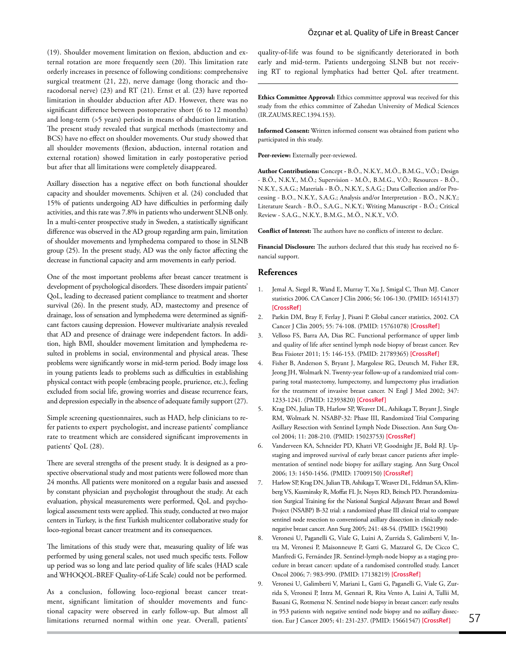(19). Shoulder movement limitation on flexion, abduction and external rotation are more frequently seen (20). This limitation rate orderly increases in presence of following conditions: comprehensive surgical treatment (21, 22), nerve damage (long thoracic and thoracodorsal nerve) (23) and RT (21). Ernst et al. (23) have reported limitation in shoulder abduction after AD. However, there was no significant difference between postoperative short (6 to 12 months) and long-term (>5 years) periods in means of abduction limitation. The present study revealed that surgical methods (mastectomy and BCS) have no effect on shoulder movements. Our study showed that all shoulder movements (flexion, abduction, internal rotation and external rotation) showed limitation in early postoperative period but after that all limitations were completely disappeared.

Axillary dissection has a negative effect on both functional shoulder capacity and shoulder movements. Schijven et al. (24) concluded that 15% of patients undergoing AD have difficulties in performing daily activities, and this rate was 7.8% in patients who underwent SLNB only. In a multi-center prospective study in Sweden, a statistically significant difference was observed in the AD group regarding arm pain, limitation of shoulder movements and lymphedema compared to those in SLNB group (25). In the present study, AD was the only factor affecting the decrease in functional capacity and arm movements in early period.

One of the most important problems after breast cancer treatment is development of psychological disorders. These disorders impair patients' QoL, leading to decreased patient compliance to treatment and shorter survival (26). In the present study, AD, mastectomy and presence of drainage, loss of sensation and lymphedema were determined as significant factors causing depression. However multivariate analysis revealed that AD and presence of drainage were independent factors. In addition, high BMI, shoulder movement limitation and lymphedema resulted in problems in social, environmental and physical areas. These problems were significantly worse in mid-term period. Body image loss in young patients leads to problems such as difficulties in establishing physical contact with people (embracing people, prurience, etc.), feeling excluded from social life, growing worries and disease recurrence fears, and depression especially in the absence of adequate family support (27).

Simple screening questionnaires, such as HAD, help clinicians to refer patients to expert psychologist, and increase patients' compliance rate to treatment which are considered significant improvements in patients' QoL (28).

There are several strengths of the present study. It is designed as a prospective observational study and most patients were followed more than 24 months. All patients were monitored on a regular basis and assessed by constant physician and psychologist throughout the study. At each evaluation, physical measurements were performed, QoL and psychological assessment tests were applied. This study, conducted at two major centers in Turkey, is the first Turkish multicenter collaborative study for loco-regional breast cancer treatment and its consequences.

The limitations of this study were that, measuring quality of life was performed by using general scales, not used much specific tests. Follow up period was so long and late period quality of life scales (HAD scale and WHOQOL-BREF Quality-of-Life Scale) could not be performed.

As a conclusion, following loco-regional breast cancer treatment, significant limitation of shoulder movements and functional capacity were observed in early follow-up. But almost all limitations returned normal within one year. Overall, patients' quality-of-life was found to be significantly deteriorated in both early and mid-term. Patients undergoing SLNB but not receiving RT to regional lymphatics had better QoL after treatment.

**Ethics Committee Approval:** Ethics committee approval was received for this study from the ethics committee of Zahedan University of Medical Sciences (IR.ZAUMS.REC.1394.153).

**Informed Consent:** Written informed consent was obtained from patient who participated in this study.

Peer-review: Externally peer-reviewed.

**Author Contributions:** Concept **-** B.Ö., N.K.Y., M.Ö., B.M.G., V.Ö.; Design - B.Ö., N.K.Y., M.Ö.; Supervision - M.Ö., B.M.G., V.Ö.; Resources - B.Ö., N.K.Y., S.A.G.; Materials - B.Ö., N.K.Y., S.A.G.; Data Collection and/or Processing - B.O., N.K.Y., S.A.G.; Analysis and/or Interpretation - B.Ö., N.K.Y.; Literature Search - B.Ö., S.A.G., N.K.Y.; Writing Manuscript - B.Ö.; Critical Review - S.A.G., N.K.Y., B.M.G., M.Ö., N.K.Y., V.Ö.

**Conflict of Interest:** The authors have no conflicts of interest to declare.

**Financial Disclosure:** The authors declared that this study has received no financial support.

### **References**

- 1. Jemal A, Siegel R, Wand E, Murray T, Xu J, Smigal C, Thun MJ. Cancer statistics 2006. CA Cancer J Clin 2006; 56: 106-130. (PMID: 16514137) **[\[CrossRef \]](https://doi.org/10.3322/canjclin.56.2.106)**
- 2. Parkin DM, Bray F, Ferlay J, Pisani P. Global cancer statistics, 2002. CA Cancer J Clin 2005; 55: 74-108. (PMID: 15761078) **[\[CrossRef \]](https://doi.org/10.3322/canjclin.55.2.74)**
- 3. Velloso FS, Barra AA, Dias RC. Functional performance of upper limb and quality of life after sentinel lymph node biopsy of breast cancer. Rev Bras Fisioter 2011; 15: 146-153. (PMID: 21789365) **[\[CrossRef \]](https://doi.org/10.1590/S1413-35552011000200010)**
- 4. Fisher B, Anderson S, Bryant J, Margolese RG, Deutsch M, Fisher ER, Jeong JH, Wolmark N. Twenty-year follow-up of a randomized trial comparing total mastectomy, lumpectomy, and lumpectomy plus irradiation for the treatment of invasive breast cancer. N Engl J Med 2002; 347: 1233-1241. (PMID: 12393820) **[\[CrossRef \]](https://doi.org/10.1056/NEJMoa022152)**
- 5. Krag DN, Julian TB, Harlow SP, Weaver DL, Ashikaga T, Bryant J, Single RM, Wolmark N. NSABP-32: Phase III, Randomized Trial Comparing Axillary Resection with Sentinel Lymph Node Dissection. Ann Surg Oncol 2004; 11: 208-210. (PMID: 15023753) **[\[CrossRef \]](https://doi.org/10.1245/ASO.2004.11.909)**
- 6. Vanderveen KA, Schneider PD, Khatri VP, Goodnight JE, Bold RJ. Upstaging and improved survival of early breast cancer patients after implementation of sentinel node biopsy for axillary staging. Ann Surg Oncol 2006; 13: 1450-1456. (PMID: 17009150) **[\[CrossRef \]](https://doi.org/10.1245/s10434-006-9109-6)**
- 7. Harlow SP, Krag DN, Julian TB, Ashikaga T, Weaver DL, Feldman SA, Klimberg VS, Kusminsky R, Moffat FL Jr, Noyes RD, Beitsch PD. Prerandomization Surgical Training for the National Surgical Adjuvant Breast and Bowel Project (NSABP) B-32 trial: a randomized phase III clinical trial to compare sentinel node resection to conventional axillary dissection in clinically nodenegative breast cancer. Ann Surg 2005; 241: 48-54. (PMID: 15621990)
- 8. Veronesi U, Paganelli G, Viale G, Luini A, Zurrida S, Galimberti V, Intra M, Veronesi P, Maisonneuve P, Gatti G, Mazzarol G, De Cicco C, Manfredi G, Fernández JR. Sentinel-lymph-node biopsy as a staging procedure in breast cancer: update of a randomised controlled study. Lancet Oncol 2006; 7: 983-990. (PMID: 17138219) **[\[CrossRef \]](https://doi.org/10.1016/S1470-2045(06)70947-0)**
- 9. Veronesi U, Galimberti V, Mariani L, Gatti G, Paganelli G, Viale G, Zurrida S, Veronesi P, Intra M, Gennari R, Rita Vento A, Luini A, Tullii M, Bassani G, Rotmensz N. Sentinel node biopsy in breast cancer: early results in 953 patients with negative sentinel node biopsy and no axillary dissection. Eur J Cancer 2005; 41: 231-237. (PMID: 15661547) **[\[CrossRef \]](https://doi.org/10.1016/j.ejca.2004.05.009)** 57